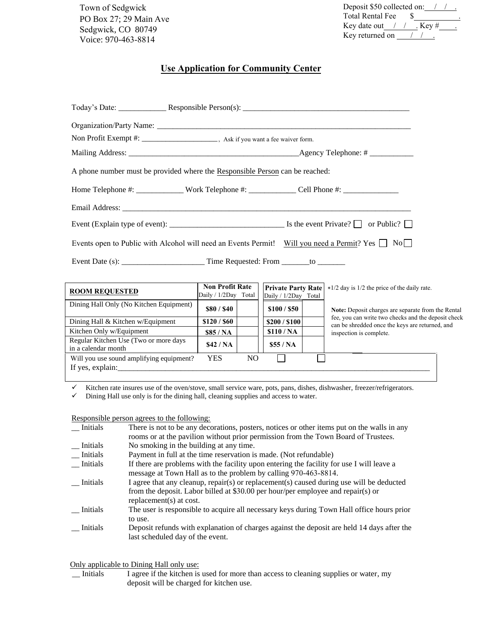Town of Sedgwick PO Box 27; 29 Main Ave Sedgwick, CO 80749 Voice: 970-463-8814

| Deposit \$50 collected on: |  |           |  |  |  |  |
|----------------------------|--|-----------|--|--|--|--|
| <b>Total Rental Fee</b>    |  |           |  |  |  |  |
| Key date out $\frac{1}{2}$ |  | . Key $#$ |  |  |  |  |
| Key returned on            |  |           |  |  |  |  |
|                            |  |           |  |  |  |  |

## **Use Application for Community Center**

| Non Profit Exempt #: _________________________, Ask if you want a fee waiver form.                          |                                                |                                                   |                                                                                                       |  |  |  |
|-------------------------------------------------------------------------------------------------------------|------------------------------------------------|---------------------------------------------------|-------------------------------------------------------------------------------------------------------|--|--|--|
|                                                                                                             |                                                |                                                   |                                                                                                       |  |  |  |
| A phone number must be provided where the Responsible Person can be reached:                                |                                                |                                                   |                                                                                                       |  |  |  |
|                                                                                                             |                                                |                                                   |                                                                                                       |  |  |  |
|                                                                                                             |                                                |                                                   |                                                                                                       |  |  |  |
|                                                                                                             |                                                |                                                   |                                                                                                       |  |  |  |
| Events open to Public with Alcohol will need an Events Permit! Will you need a Permit? Yes $\Box$ No $\Box$ |                                                |                                                   |                                                                                                       |  |  |  |
|                                                                                                             |                                                |                                                   |                                                                                                       |  |  |  |
|                                                                                                             |                                                |                                                   |                                                                                                       |  |  |  |
| <b>ROOM REQUESTED</b>                                                                                       | <b>Non Profit Rate</b><br>Daily / 1/2Day Total | <b>Private Party Rate</b><br>Daily / 1/2Day Total | *1/2 day is 1/2 the price of the daily rate.                                                          |  |  |  |
| Dining Hall Only (No Kitchen Equipment)                                                                     | \$80/\$40                                      | \$100 / \$50                                      | Note: Deposit charges are separate from the Rental                                                    |  |  |  |
| Dining Hall & Kitchen w/Equipment                                                                           | \$120/\$60                                     | \$200 / \$100                                     | fee, you can write two checks and the deposit check<br>can be shredded once the keys are returned and |  |  |  |

can be shredded once the keys are returned, and inspection is complete.

| Regular Kitchen Use (Two or more days<br>in a calendar month | \$42/NA |    | \$55/NA |  |  |  |
|--------------------------------------------------------------|---------|----|---------|--|--|--|
| Will you use sound amplifying equipment?<br>If yes, explain: | YES     | NC |         |  |  |  |
|                                                              |         |    |         |  |  |  |

 $\checkmark$  Kitchen rate insures use of the oven/stove, small service ware, pots, pans, dishes, dishwasher, freezer/refrigerators.

 $\checkmark$  Dining Hall use only is for the dining hall, cleaning supplies and access to water.

Kitchen Only w/Equipment **\$85 / NA \$110 / NA**

Responsible person agrees to the following:

Regular Kitchen Use (Two or more days

| Initials        | There is not to be any decorations, posters, notices or other items put on the walls in any<br>rooms or at the pavilion without prior permission from the Town Board of Trustees.                       |
|-----------------|---------------------------------------------------------------------------------------------------------------------------------------------------------------------------------------------------------|
| Initials        | No smoking in the building at any time.                                                                                                                                                                 |
| Initials        | Payment in full at the time reservation is made. (Not refundable)                                                                                                                                       |
| Initials        | If there are problems with the facility upon entering the facility for use I will leave a                                                                                                               |
|                 | message at Town Hall as to the problem by calling 970-463-8814.                                                                                                                                         |
| Initials        | I agree that any cleanup, repair(s) or replacement(s) caused during use will be deducted<br>from the deposit. Labor billed at \$30.00 per hour/per employee and repair(s) or<br>replacement(s) at cost. |
| <b>Initials</b> | The user is responsible to acquire all necessary keys during Town Hall office hours prior<br>to use.                                                                                                    |
| Initials        | Deposit refunds with explanation of charges against the deposit are held 14 days after the<br>last scheduled day of the event.                                                                          |

Only applicable to Dining Hall only use:

 \_\_ Initials I agree if the kitchen is used for more than access to cleaning supplies or water, my deposit will be charged for kitchen use.